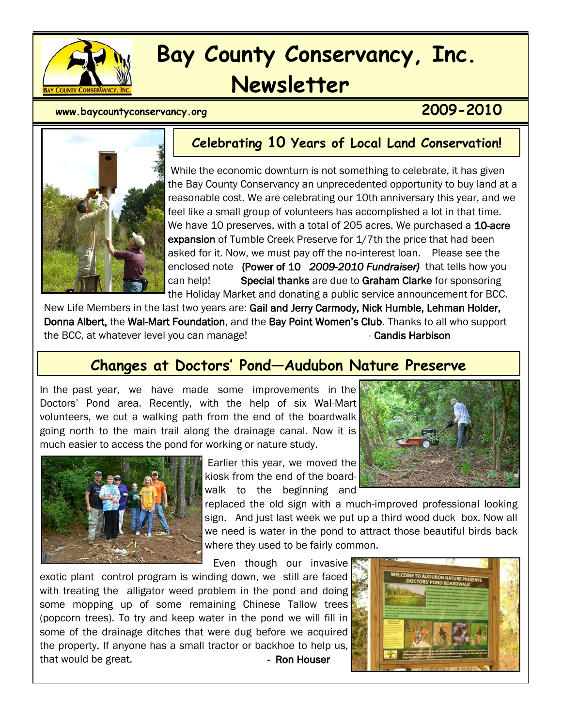

# **Bay County Conservancy, Inc. Newsletter**

# **www.baycountyconservancy.org 2009-2010**



**Celebrating 10 Years of Local Land Conservation!**

While the economic downturn is not something to celebrate, it has given the Bay County Conservancy an unprecedented opportunity to buy land at a reasonable cost. We are celebrating our 10th anniversary this year, and we feel like a small group of volunteers has accomplished a lot in that time. We have 10 preserves, with a total of 205 acres. We purchased a 10-acre expansion of Tumble Creek Preserve for 1/7th the price that had been asked for it. Now, we must pay off the no-interest loan. Please see the enclosed note {Power of 10 *2009-2010 Fundraiser}* that tells how you can help! Special thanks are due to Graham Clarke for sponsoring the Holiday Market and donating a public service announcement for BCC.

New Life Members in the last two years are: Gail and Jerry Carmody, Nick Humble, Lehman Holder, Donna Albert, the Wal-Mart Foundation, and the Bay Point Women's Club. Thanks to all who support the BCC, at whatever level you can manage! The state of candis Harbison

# **Changes at Doctors' Pond—Audubon Nature Preserve**

In the past year, we have made some improvements in the Doctors' Pond area. Recently, with the help of six Wal-Mart volunteers, we cut a walking path from the end of the boardwalk going north to the main trail along the drainage canal. Now it is much easier to access the pond for working or nature study.



Earlier this year, we moved the kiosk from the end of the boardwalk to the beginning and

replaced the old sign with a much-improved professional looking sign. And just last week we put up a third wood duck box. Now all we need is water in the pond to attract those beautiful birds back where they used to be fairly common.

Even though our invasive

exotic plant control program is winding down, we still are faced with treating the alligator weed problem in the pond and doing some mopping up of some remaining Chinese Tallow trees (popcorn trees). To try and keep water in the pond we will fill in some of the drainage ditches that were dug before we acquired the property. If anyone has a small tractor or backhoe to help us, that would be great. The contract of the Ron Houser



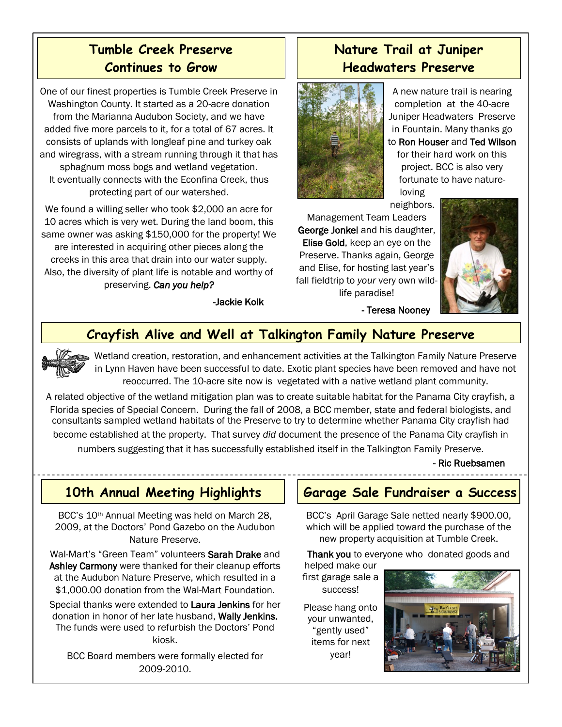# **Tumble Creek Preserve Continues to Grow**

One of our finest properties is Tumble Creek Preserve in Washington County. It started as a 20-acre donation from the Marianna Audubon Society, and we have added five more parcels to it, for a total of 67 acres. It consists of uplands with longleaf pine and turkey oak and wiregrass, with a stream running through it that has sphagnum moss bogs and wetland vegetation. It eventually connects with the Econfina Creek, thus protecting part of our watershed.

We found a willing seller who took \$2,000 an acre for 10 acres which is very wet. During the land boom, this same owner was asking \$150,000 for the property! We are interested in acquiring other pieces along the creeks in this area that drain into our water supply. Also, the diversity of plant life is notable and worthy of preserving. *Can you help?*

-Jackie Kolk

# **Nature Trail at Juniper Headwaters Preserve**



A new nature trail is nearing completion at the 40-acre Juniper Headwaters Preserve in Fountain. Many thanks go to Ron Houser and Ted Wilson for their hard work on this project. BCC is also very fortunate to have natureloving

neighbors.

- Teresa Nooney

Management Team Leaders George Jonkel and his daughter, Elise Gold, keep an eye on the Preserve. Thanks again, George and Elise, for hosting last year's fall fieldtrip to *your* very own wildlife paradise!



# **Crayfish Alive and Well at Talkington Family Nature Preserve**

Wetland creation, restoration, and enhancement activities at the Talkington Family Nature Preserve in Lynn Haven have been successful to date. Exotic plant species have been removed and have not reoccurred. The 10-acre site now is vegetated with a native wetland plant community.

A related objective of the wetland mitigation plan was to create suitable habitat for the Panama City crayfish, a Florida species of Special Concern. During the fall of 2008, a BCC member, state and federal biologists, and consultants sampled wetland habitats of the Preserve to try to determine whether Panama City crayfish had

become established at the property. That survey *did* document the presence of the Panama City crayfish in numbers suggesting that it has successfully established itself in the Talkington Family Preserve.

- Ric Ruebsamen

# **10th Annual Meeting Highlights**

BCC's 10th Annual Meeting was held on March 28, 2009, at the Doctors' Pond Gazebo on the Audubon Nature Preserve.

Wal-Mart's "Green Team" volunteers Sarah Drake and Ashley Carmony were thanked for their cleanup efforts at the Audubon Nature Preserve, which resulted in a \$1,000.00 donation from the Wal-Mart Foundation.

Special thanks were extended to Laura Jenkins for her donation in honor of her late husband, Wally Jenkins. The funds were used to refurbish the Doctors' Pond kiosk.

BCC Board members were formally elected for 2009-2010.

## **Garage Sale Fundraiser a Success**

BCC's April Garage Sale netted nearly \$900.00, which will be applied toward the purchase of the new property acquisition at Tumble Creek.

Thank you to everyone who donated goods and

helped make our first garage sale a success!

Please hang onto your unwanted, "gently used" items for next year!

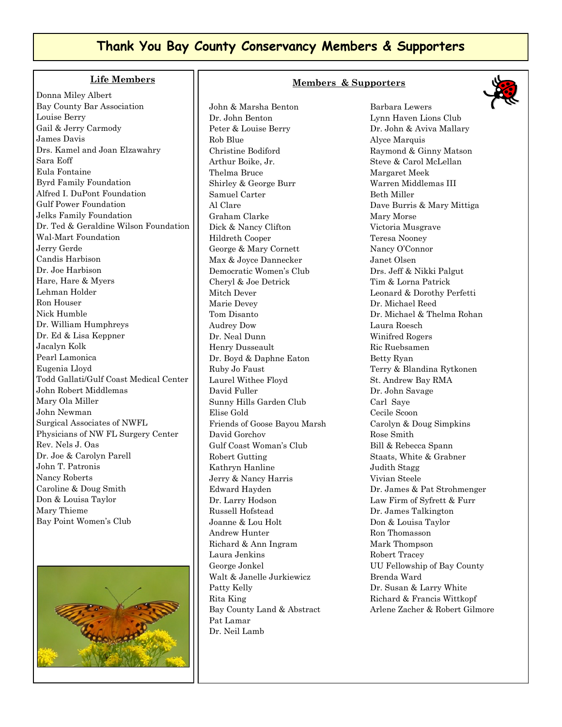#### **Thank You Bay County Conservancy Members & Supporters**

#### **Life Members**

Donna Miley Albert Bay County Bar Association Louise Berry Gail & Jerry Carmody James Davis Drs. Kamel and Joan Elzawahry Sara Eoff Eula Fontaine Byrd Family Foundation Alfred I. DuPont Foundation Gulf Power Foundation Jelks Family Foundation Dr. Ted & Geraldine Wilson Foundation Wal-Mart Foundation Jerry Gerde Candis Harbison Dr. Joe Harbison Hare, Hare & Myers Lehman Holder Ron Houser Nick Humble Dr. William Humphreys Dr. Ed & Lisa Keppner Jacalyn Kolk Pearl Lamonica Eugenia Lloyd Todd Gallati/Gulf Coast Medical Center John Robert Middlemas Mary Ola Miller John Newman Surgical Associates of NWFL Physicians of NW FL Surgery Center Rev. Nels J. Oas Dr. Joe & Carolyn Parell John T. Patronis Nancy Roberts Caroline & Doug Smith Don & Louisa Taylor Mary Thieme Bay Point Women's Club



#### John & Marsha Benton Dr. John Benton Peter & Louise Berry Rob Blue Christine Bodiford Arthur Boike, Jr. Thelma Bruce Shirley & George Burr Samuel Carter Al Clare Graham Clarke Dick & Nancy Clifton Hildreth Cooper George & Mary Cornett Max & Joyce Dannecker Democratic Women's Club Cheryl & Joe Detrick Mitch Dever Marie Devey Tom Disanto Audrey Dow Dr. Neal Dunn Henry Dusseault Dr. Boyd & Daphne Eaton Ruby Jo Faust Laurel Withee Floyd David Fuller Sunny Hills Garden Club Elise Gold Friends of Goose Bayou Marsh David Gorchov Gulf Coast Woman's Club Robert Gutting Kathryn Hanline Jerry & Nancy Harris Edward Hayden Dr. Larry Hodson Russell Hofstead Joanne & Lou Holt Andrew Hunter Richard & Ann Ingram Laura Jenkins George Jonkel Walt & Janelle Jurkiewicz Patty Kelly Rita King Bay County Land & Abstract Pat Lamar Dr. Neil Lamb

#### **Members & Supporters**



Barbara Lewers Lynn Haven Lions Club Dr. John & Aviva Mallary Alyce Marquis Raymond & Ginny Matson Steve & Carol McLellan Margaret Meek Warren Middlemas III Beth Miller Dave Burris & Mary Mittiga Mary Morse Victoria Musgrave Teresa Nooney Nancy O'Connor Janet Olsen Drs. Jeff & Nikki Palgut Tim & Lorna Patrick Leonard & Dorothy Perfetti Dr. Michael Reed Dr. Michael & Thelma Rohan Laura Roesch Winifred Rogers Ric Ruebsamen Betty Ryan Terry & Blandina Rytkonen St. Andrew Bay RMA Dr. John Savage Carl Saye Cecile Scoon Carolyn & Doug Simpkins Rose Smith Bill & Rebecca Spann Staats, White & Grabner Judith Stagg Vivian Steele Dr. James & Pat Strohmenger Law Firm of Syfrett & Furr Dr. James Talkington Don & Louisa Taylor Ron Thomasson Mark Thompson Robert Tracey UU Fellowship of Bay County Brenda Ward Dr. Susan & Larry White Richard & Francis Wittkopf Arlene Zacher & Robert Gilmore